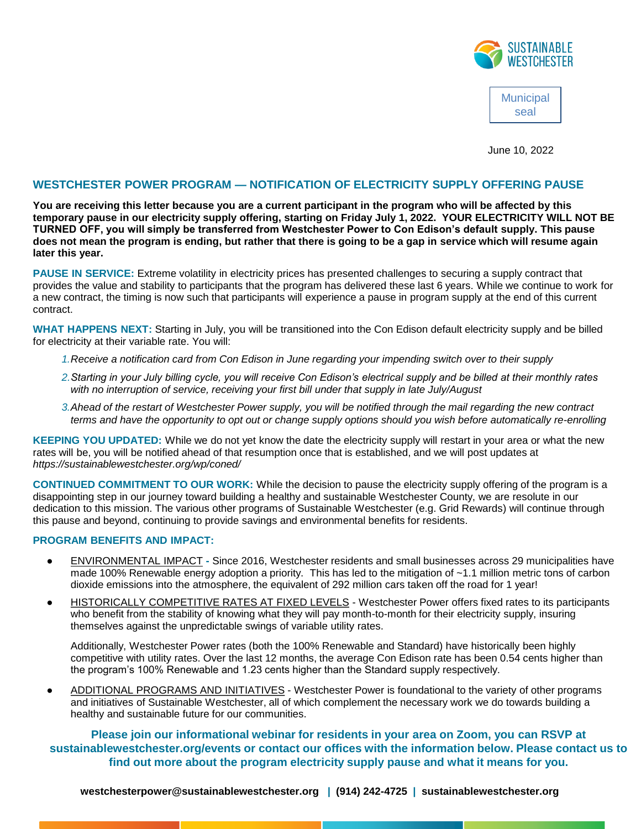

**Municipal** seal

June 10, 2022

## **WESTCHESTER POWER PROGRAM — NOTIFICATION OF ELECTRICITY SUPPLY OFFERING PAUSE**

**You are receiving this letter because you are a current participant in the program who will be affected by this temporary pause in our electricity supply offering, starting on Friday July 1, 2022. YOUR ELECTRICITY WILL NOT BE TURNED OFF, you will simply be transferred from Westchester Power to Con Edison's default supply. This pause does not mean the program is ending, but rather that there is going to be a gap in service which will resume again later this year.** 

**PAUSE IN SERVICE:** Extreme volatility in electricity prices has presented challenges to securing a supply contract that provides the value and stability to participants that the program has delivered these last 6 years. While we continue to work for a new contract, the timing is now such that participants will experience a pause in program supply at the end of this current contract.

**WHAT HAPPENS NEXT:** Starting in July, you will be transitioned into the Con Edison default electricity supply and be billed for electricity at their variable rate. You will:

- *1.Receive a notification card from Con Edison in June regarding your impending switch over to their supply*
- *2.Starting in your July billing cycle, you will receive Con Edison's electrical supply and be billed at their monthly rates with no interruption of service, receiving your first bill under that supply in late July/August*
- *3.Ahead of the restart of Westchester Power supply, you will be notified through the mail regarding the new contract terms and have the opportunity to opt out or change supply options should you wish before automatically re-enrolling*

**KEEPING YOU UPDATED:** While we do not yet know the date the electricity supply will restart in your area or what the new rates will be, you will be notified ahead of that resumption once that is established, and we will post updates at *https://sustainablewestchester.org/wp/coned/* 

**CONTINUED COMMITMENT TO OUR WORK:** While the decision to pause the electricity supply offering of the program is a disappointing step in our journey toward building a healthy and sustainable Westchester County, we are resolute in our dedication to this mission. The various other programs of Sustainable Westchester (e.g. Grid Rewards) will continue through this pause and beyond, continuing to provide savings and environmental benefits for residents.

## **PROGRAM BENEFITS AND IMPACT:**

- ENVIRONMENTAL IMPACT **-** Since 2016, Westchester residents and small businesses across 29 municipalities have made 100% Renewable energy adoption a priority. This has led to the mitigation of ~1.1 million metric tons of carbon dioxide emissions into the atmosphere, the equivalent of 292 million cars taken off the road for 1 year!
- **•** HISTORICALLY COMPETITIVE RATES AT FIXED LEVELS Westchester Power offers fixed rates to its participants who benefit from the stability of knowing what they will pay month-to-month for their electricity supply, insuring themselves against the unpredictable swings of variable utility rates.

Additionally, Westchester Power rates (both the 100% Renewable and Standard) have historically been highly competitive with utility rates. Over the last 12 months, the average Con Edison rate has been 0.54 cents higher than the program's 100% Renewable and 1.23 cents higher than the Standard supply respectively.

ADDITIONAL PROGRAMS AND INITIATIVES - Westchester Power is foundational to the variety of other programs and initiatives of Sustainable Westchester, all of which complement the necessary work we do towards building a healthy and sustainable future for our communities.

**Please join our informational webinar for residents in your area on Zoom, you can RSVP at sustainablewestchester.org/events or contact our offices with the information below. Please contact us to find out more about the program electricity supply pause and what it means for you.**